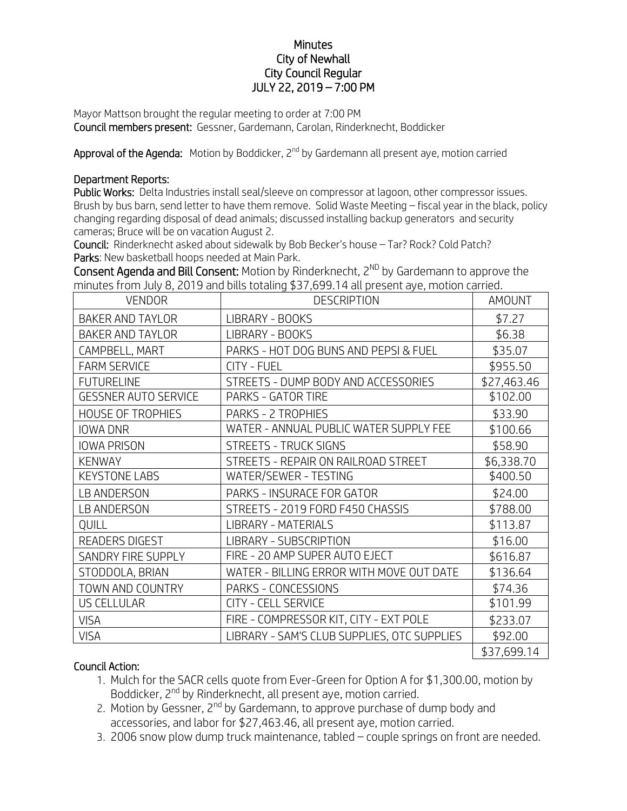## **Minutes** City of Newhall City Council Regular JULY 22, 2019 – 7:00 PM

Mayor Mattson brought the regular meeting to order at 7:00 PM Council members present: Gessner, Gardemann, Carolan, Rinderknecht, Boddicker

Approval of the Agenda: Motion by Boddicker, 2<sup>nd</sup> by Gardemann all present aye, motion carried

## Department Reports:

Public Works: Delta Industries install seal/sleeve on compressor at lagoon, other compressor issues. Brush by bus barn, send letter to have them remove. Solid Waste Meeting – fiscal year in the black, policy changing regarding disposal of dead animals; discussed installing backup generators and security cameras; Bruce will be on vacation August 2.

Council: Rinderknecht asked about sidewalk by Bob Becker's house – Tar? Rock? Cold Patch? Parks: New basketball hoops needed at Main Park.

Consent Agenda and Bill Consent: Motion by Rinderknecht,  $2^{ND}$  by Gardemann to approve the minutes from July 8, 2019 and bills totaling \$37,699.14 all present aye, motion carried.

| <b>VENDOR</b>               | <b>DESCRIPTION</b>                          | <b>AMOUNT</b> |
|-----------------------------|---------------------------------------------|---------------|
| <b>BAKER AND TAYLOR</b>     | LIBRARY - BOOKS                             | \$7.27        |
| <b>BAKER AND TAYLOR</b>     | LIBRARY - BOOKS                             | \$6.38        |
| CAMPBELL, MART              | PARKS - HOT DOG BUNS AND PEPSI & FUEL       | \$35.07       |
| <b>FARM SERVICE</b>         | <b>CITY - FUEL</b>                          | \$955.50      |
| <b>FUTURELINE</b>           | STREETS - DUMP BODY AND ACCESSORIES         | \$27,463.46   |
| <b>GESSNER AUTO SERVICE</b> | PARKS - GATOR TIRE                          | \$102.00      |
| <b>HOUSE OF TROPHIES</b>    | PARKS - 2 TROPHIES                          | \$33.90       |
| <b>IOWA DNR</b>             | WATER - ANNUAL PUBLIC WATER SUPPLY FEE      | \$100.66      |
| <b>IOWA PRISON</b>          | STREETS - TRUCK SIGNS                       | \$58.90       |
| <b>KENWAY</b>               | STREETS - REPAIR ON RAILROAD STREET         | \$6,338.70    |
| <b>KEYSTONE LABS</b>        | WATER/SEWER - TESTING                       | \$400.50      |
| <b>LB ANDERSON</b>          | PARKS - INSURACE FOR GATOR                  | \$24.00       |
| <b>LB ANDERSON</b>          | STREETS - 2019 FORD F450 CHASSIS            | \$788.00      |
| QUILL                       | <b>LIBRARY - MATERIALS</b>                  | \$113.87      |
| <b>READERS DIGEST</b>       | LIBRARY - SUBSCRIPTION                      | \$16.00       |
| SANDRY FIRE SUPPLY          | FIRE - 20 AMP SUPER AUTO EJECT              | \$616.87      |
| STODDOLA, BRIAN             | WATER - BILLING ERROR WITH MOVE OUT DATE    | \$136.64      |
| TOWN AND COUNTRY            | PARKS - CONCESSIONS                         | \$74.36       |
| <b>US CELLULAR</b>          | <b>CITY - CELL SERVICE</b>                  | \$101.99      |
| <b>VISA</b>                 | FIRE - COMPRESSOR KIT, CITY - EXT POLE      | \$233.07      |
| <b>VISA</b>                 | LIBRARY - SAM'S CLUB SUPPLIES, OTC SUPPLIES | \$92.00       |
|                             |                                             | \$37,699.14   |

## Council Action:

- 1. Mulch for the SACR cells quote from Ever-Green for Option A for \$1,300.00, motion by Boddicker, 2<sup>nd</sup> by Rinderknecht, all present aye, motion carried.
- 2. Motion by Gessner, 2<sup>nd</sup> by Gardemann, to approve purchase of dump body and accessories, and labor for \$27,463.46, all present aye, motion carried.
- 3. 2006 snow plow dump truck maintenance, tabled couple springs on front are needed.